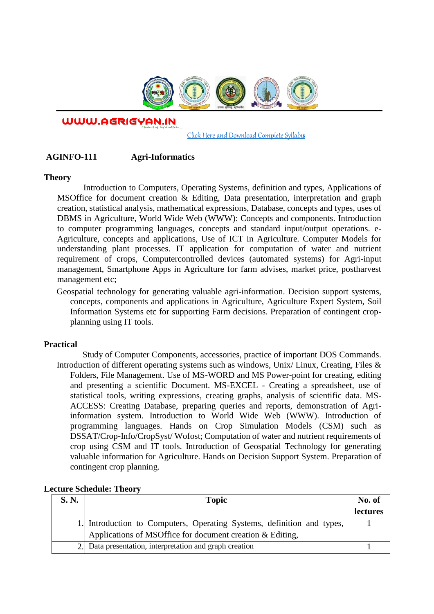

WWW.AGRIGYAN.IN

[Click Here and Download Complete Syllabus](http://agrigyan.in/)

## **AGINFO-111 Agri-Informatics**

#### **Theory**

 $\overline{a}$ 

Introduction to Computers, Operating Systems, definition and types, Applications of MSOffice for document creation & Editing, Data presentation, interpretation and graph creation, statistical analysis, mathematical expressions, Database, concepts and types, uses of DBMS in Agriculture, World Wide Web (WWW): Concepts and components. Introduction to computer programming languages, concepts and standard input/output operations. e-Agriculture, concepts and applications, Use of ICT in Agriculture. Computer Models for understanding plant processes. IT application for computation of water and nutrient requirement of crops, Computercontrolled devices (automated systems) for Agri-input management, Smartphone Apps in Agriculture for farm advises, market price, postharvest management etc;

Geospatial technology for generating valuable agri-information. Decision support systems, concepts, components and applications in Agriculture, Agriculture Expert System, Soil Information Systems etc for supporting Farm decisions. Preparation of contingent cropplanning using IT tools.

## **Practical**

Study of Computer Components, accessories, practice of important DOS Commands. Introduction of different operating systems such as windows, Unix/ Linux, Creating, Files & Folders, File Management. Use of MS-WORD and MS Power-point for creating, editing and presenting a scientific Document. MS-EXCEL - Creating a spreadsheet, use of statistical tools, writing expressions, creating graphs, analysis of scientific data. MS-ACCESS: Creating Database, preparing queries and reports, demonstration of Agriinformation system. Introduction to World Wide Web (WWW). Introduction of programming languages. Hands on Crop Simulation Models (CSM) such as DSSAT/Crop-Info/CropSyst/ Wofost; Computation of water and nutrient requirements of crop using CSM and IT tools. Introduction of Geospatial Technology for generating valuable information for Agriculture. Hands on Decision Support System. Preparation of contingent crop planning.

| S. N. | <b>Topic</b>                                                           | No. of   |
|-------|------------------------------------------------------------------------|----------|
|       |                                                                        | lectures |
|       | 1. Introduction to Computers, Operating Systems, definition and types, |          |
|       | Applications of MSOffice for document creation & Editing,              |          |
|       | 2. Data presentation, interpretation and graph creation                |          |

### **Lecture Schedule: Theory**